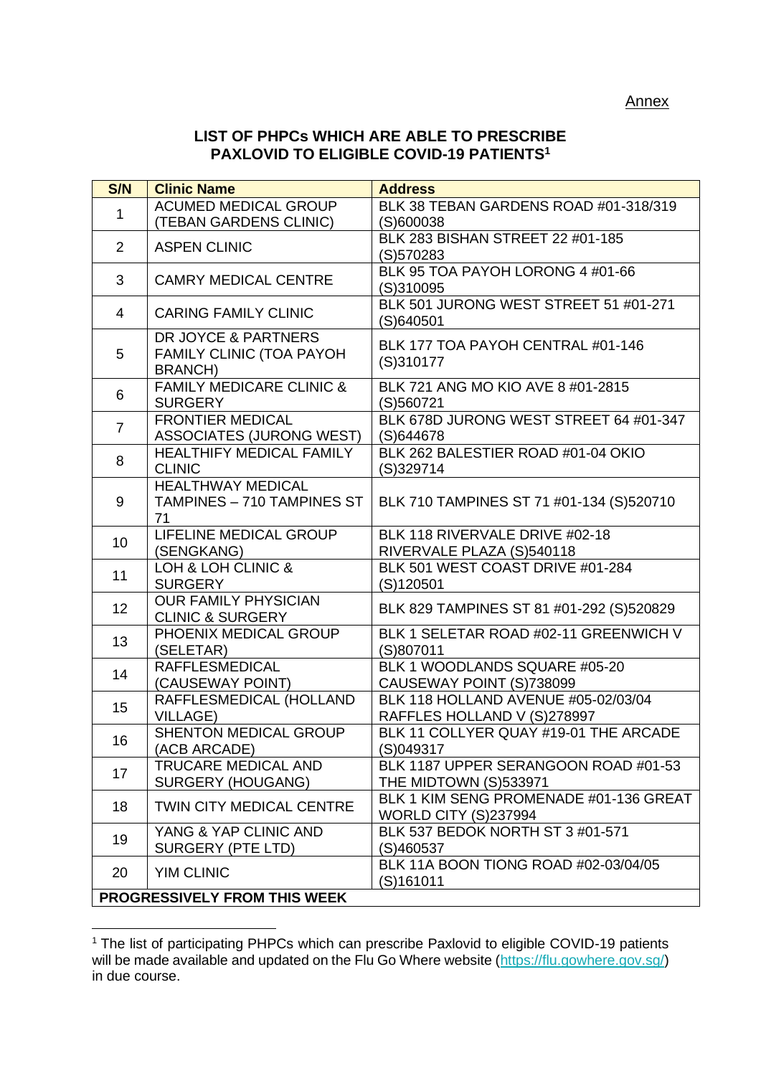## **LIST OF PHPCs WHICH ARE ABLE TO PRESCRIBE PAXLOVID TO ELIGIBLE COVID-19 PATIENTS<sup>1</sup>**

| S/N                          | <b>Clinic Name</b>                        | <b>Address</b>                                      |  |
|------------------------------|-------------------------------------------|-----------------------------------------------------|--|
| $\mathbf{1}$                 | <b>ACUMED MEDICAL GROUP</b>               | BLK 38 TEBAN GARDENS ROAD #01-318/319               |  |
|                              | (TEBAN GARDENS CLINIC)                    | (S)600038                                           |  |
| 2                            | <b>ASPEN CLINIC</b>                       | BLK 283 BISHAN STREET 22 #01-185                    |  |
|                              |                                           | (S)570283                                           |  |
| 3                            | <b>CAMRY MEDICAL CENTRE</b>               | BLK 95 TOA PAYOH LORONG 4 #01-66                    |  |
|                              |                                           | (S)310095                                           |  |
| 4                            | <b>CARING FAMILY CLINIC</b>               | BLK 501 JURONG WEST STREET 51 #01-271<br>(S)640501  |  |
| 5                            | DR JOYCE & PARTNERS                       | BLK 177 TOA PAYOH CENTRAL #01-146                   |  |
|                              | <b>FAMILY CLINIC (TOA PAYOH</b>           | (S)310177                                           |  |
|                              | <b>BRANCH)</b>                            |                                                     |  |
| 6                            | <b>FAMILY MEDICARE CLINIC &amp;</b>       | BLK 721 ANG MO KIO AVE 8 #01-2815                   |  |
|                              | <b>SURGERY</b><br><b>FRONTIER MEDICAL</b> | (S)560721<br>BLK 678D JURONG WEST STREET 64 #01-347 |  |
| $\overline{7}$               | <b>ASSOCIATES (JURONG WEST)</b>           | (S)644678                                           |  |
|                              | <b>HEALTHIFY MEDICAL FAMILY</b>           | BLK 262 BALESTIER ROAD #01-04 OKIO                  |  |
| 8                            | <b>CLINIC</b>                             | (S)329714                                           |  |
|                              | <b>HEALTHWAY MEDICAL</b>                  |                                                     |  |
| 9                            | TAMPINES - 710 TAMPINES ST                | BLK 710 TAMPINES ST 71 #01-134 (S)520710            |  |
|                              | 71                                        |                                                     |  |
|                              | LIFELINE MEDICAL GROUP                    | BLK 118 RIVERVALE DRIVE #02-18                      |  |
| 10                           | (SENGKANG)                                | RIVERVALE PLAZA (S)540118                           |  |
| 11                           | LOH & LOH CLINIC &                        | BLK 501 WEST COAST DRIVE #01-284                    |  |
|                              | <b>SURGERY</b>                            | (S)120501                                           |  |
| 12                           | <b>OUR FAMILY PHYSICIAN</b>               | BLK 829 TAMPINES ST 81 #01-292 (S)520829            |  |
|                              | <b>CLINIC &amp; SURGERY</b>               |                                                     |  |
| 13                           | PHOENIX MEDICAL GROUP                     | BLK 1 SELETAR ROAD #02-11 GREENWICH V               |  |
|                              | (SELETAR)<br><b>RAFFLESMEDICAL</b>        | (S)807011<br>BLK 1 WOODLANDS SQUARE #05-20          |  |
| 14                           | (CAUSEWAY POINT)                          | CAUSEWAY POINT (S)738099                            |  |
| 15                           | RAFFLESMEDICAL (HOLLAND                   | BLK 118 HOLLAND AVENUE #05-02/03/04                 |  |
|                              | <b>VILLAGE)</b>                           | RAFFLES HOLLAND V (S)278997                         |  |
| 16                           | <b>SHENTON MEDICAL GROUP</b>              | BLK 11 COLLYER QUAY #19-01 THE ARCADE               |  |
|                              | (ACB ARCADE)                              | (S)049317                                           |  |
| 17                           | <b>TRUCARE MEDICAL AND</b>                | BLK 1187 UPPER SERANGOON ROAD #01-53                |  |
|                              | <b>SURGERY (HOUGANG)</b>                  | THE MIDTOWN (S)533971                               |  |
| 18                           | <b>TWIN CITY MEDICAL CENTRE</b>           | BLK 1 KIM SENG PROMENADE #01-136 GREAT              |  |
|                              |                                           | <b>WORLD CITY (S)237994</b>                         |  |
| 19                           | YANG & YAP CLINIC AND                     | BLK 537 BEDOK NORTH ST 3 #01-571                    |  |
|                              | <b>SURGERY (PTE LTD)</b>                  | (S)460537                                           |  |
| 20                           | <b>YIM CLINIC</b>                         | BLK 11A BOON TIONG ROAD #02-03/04/05                |  |
|                              |                                           | (S)161011                                           |  |
| PROGRESSIVELY FROM THIS WEEK |                                           |                                                     |  |

<sup>&</sup>lt;sup>1</sup> The list of participating PHPCs which can prescribe Paxlovid to eligible COVID-19 patients will be made available and updated on the Flu Go Where website [\(https://flu.gowhere.gov.sg/\)](https://flu.gowhere.gov.sg/) in due course.